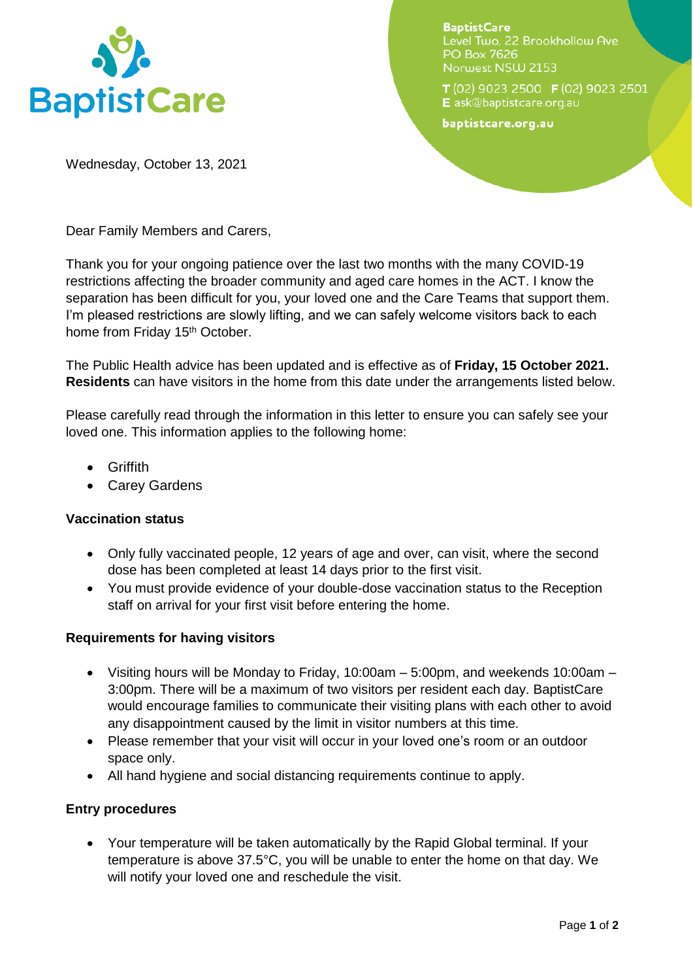

**BaptistCare** Level Two, 22 Brookhollow Ave PO Box 7626 Norwest NSW 2153

T (02) 9023 2500 F (02) 9023 2501 E ask@baptistcare.org.au

baptistcare.org.au

Wednesday, October 13, 2021

Dear Family Members and Carers,

Thank you for your ongoing patience over the last two months with the many COVID-19 restrictions affecting the broader community and aged care homes in the ACT. I know the separation has been difficult for you, your loved one and the Care Teams that support them. I'm pleased restrictions are slowly lifting, and we can safely welcome visitors back to each home from Friday 15<sup>th</sup> October.

The Public Health advice has been updated and is effective as of **Friday, 15 October 2021. Residents** can have visitors in the home from this date under the arrangements listed below.

Please carefully read through the information in this letter to ensure you can safely see your loved one. This information applies to the following home:

- Griffith
- Carey Gardens

# **Vaccination status**

- Only fully vaccinated people, 12 years of age and over, can visit, where the second dose has been completed at least 14 days prior to the first visit.
- You must provide evidence of your double-dose vaccination status to the Reception staff on arrival for your first visit before entering the home.

# **Requirements for having visitors**

- Visiting hours will be Monday to Friday, 10:00am  $-$  5:00pm, and weekends 10:00am  $-$ 3:00pm. There will be a maximum of two visitors per resident each day. BaptistCare would encourage families to communicate their visiting plans with each other to avoid any disappointment caused by the limit in visitor numbers at this time.
- Please remember that your visit will occur in your loved one's room or an outdoor space only.
- All hand hygiene and social distancing requirements continue to apply.

# **Entry procedures**

 Your temperature will be taken automatically by the Rapid Global terminal. If your temperature is above 37.5°C, you will be unable to enter the home on that day. We will notify your loved one and reschedule the visit.